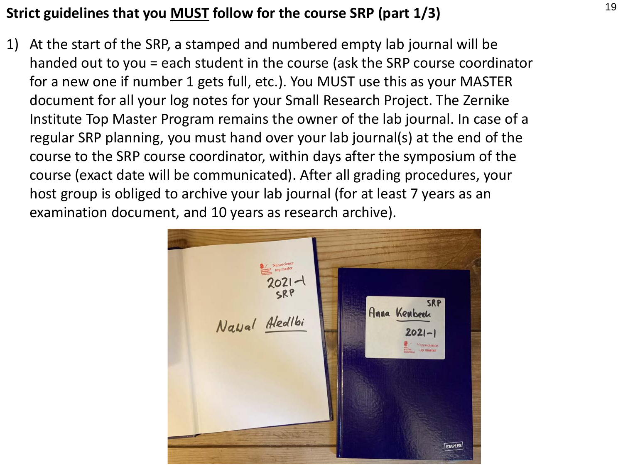## <sup>19</sup> **Strict guidelines that you MUST follow for the course SRP (part 1/3)**

1) At the start of the SRP, a stamped and numbered empty lab journal will be handed out to you = each student in the course (ask the SRP course coordinator for a new one if number 1 gets full, etc.). You MUST use this as your MASTER document for all your log notes for your Small Research Project. The Zernike Institute Top Master Program remains the owner of the lab journal. In case of a regular SRP planning, you must hand over your lab journal(s) at the end of the course to the SRP course coordinator, within days after the symposium of the course (exact date will be communicated). After all grading procedures, your host group is obliged to archive your lab journal (for at least 7 years as an examination document, and 10 years as research archive).

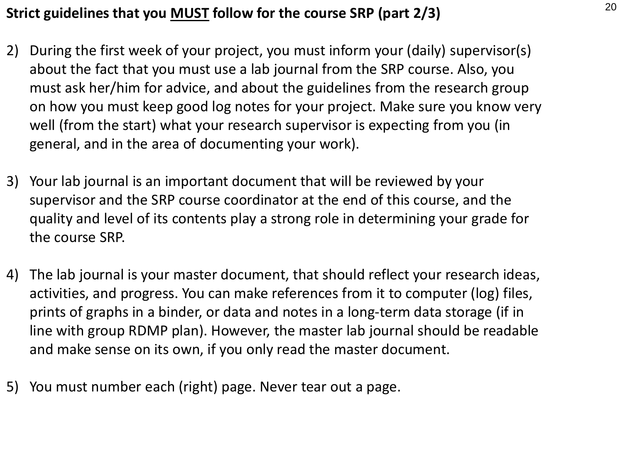## <sup>20</sup> **Strict guidelines that you MUST follow for the course SRP (part 2/3)**

- 2) During the first week of your project, you must inform your (daily) supervisor(s) about the fact that you must use a lab journal from the SRP course. Also, you must ask her/him for advice, and about the guidelines from the research group on how you must keep good log notes for your project. Make sure you know very well (from the start) what your research supervisor is expecting from you (in general, and in the area of documenting your work).
- 3) Your lab journal is an important document that will be reviewed by your supervisor and the SRP course coordinator at the end of this course, and the quality and level of its contents play a strong role in determining your grade for the course SRP.
- 4) The lab journal is your master document, that should reflect your research ideas, activities, and progress. You can make references from it to computer (log) files, prints of graphs in a binder, or data and notes in a long-term data storage (if in line with group RDMP plan). However, the master lab journal should be readable and make sense on its own, if you only read the master document.
- 5) You must number each (right) page. Never tear out a page.